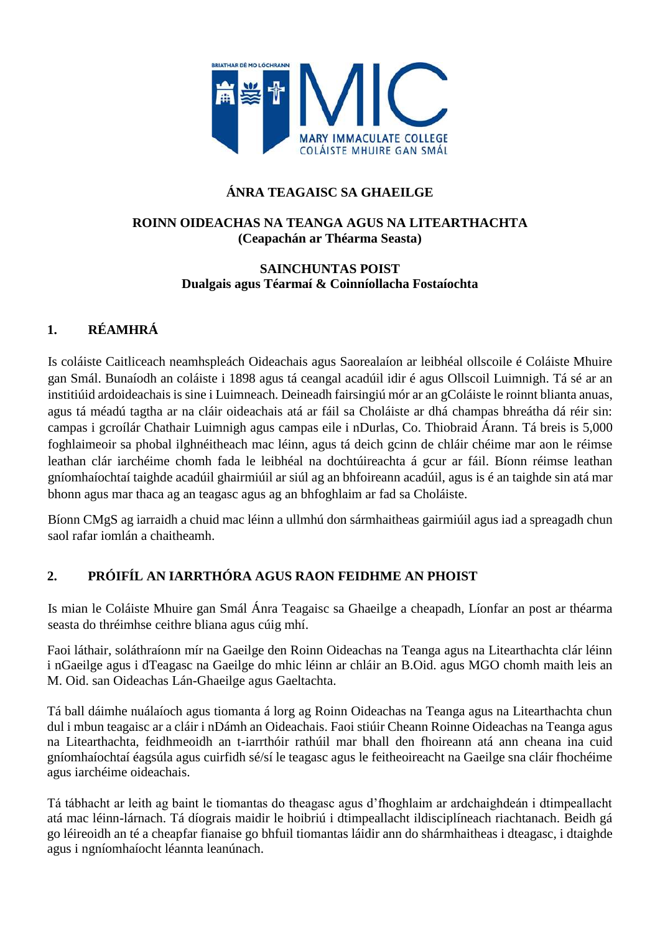

## **ÁNRA TEAGAISC SA GHAEILGE**

#### **ROINN OIDEACHAS NA TEANGA AGUS NA LITEARTHACHTA (Ceapachán ar Théarma Seasta)**

#### **SAINCHUNTAS POIST Dualgais agus Téarmaí & Coinníollacha Fostaíochta**

# **1. RÉAMHRÁ**

Is coláiste Caitliceach neamhspleách Oideachais agus Saorealaíon ar leibhéal ollscoile é Coláiste Mhuire gan Smál. Bunaíodh an coláiste i 1898 agus tá ceangal acadúil idir é agus Ollscoil Luimnigh. Tá sé ar an institiúid ardoideachais is sine i Luimneach. Deineadh fairsingiú mór ar an gColáiste le roinnt blianta anuas, agus tá méadú tagtha ar na cláir oideachais atá ar fáil sa Choláiste ar dhá champas bhreátha dá réir sin: campas i gcroílár Chathair Luimnigh agus campas eile i nDurlas, Co. Thiobraid Árann. Tá breis is 5,000 foghlaimeoir sa phobal ilghnéitheach mac léinn, agus tá deich gcinn de chláir chéime mar aon le réimse leathan clár iarchéime chomh fada le leibhéal na dochtúireachta á gcur ar fáil. Bíonn réimse leathan gníomhaíochtaí taighde acadúil ghairmiúil ar siúl ag an bhfoireann acadúil, agus is é an taighde sin atá mar bhonn agus mar thaca ag an teagasc agus ag an bhfoghlaim ar fad sa Choláiste.

Bíonn CMgS ag iarraidh a chuid mac léinn a ullmhú don sármhaitheas gairmiúil agus iad a spreagadh chun saol rafar iomlán a chaitheamh.

## **2. PRÓIFÍL AN IARRTHÓRA AGUS RAON FEIDHME AN PHOIST**

Is mian le Coláiste Mhuire gan Smál Ánra Teagaisc sa Ghaeilge a cheapadh, Líonfar an post ar théarma seasta do thréimhse ceithre bliana agus cúig mhí.

Faoi láthair, soláthraíonn mír na Gaeilge den Roinn Oideachas na Teanga agus na Litearthachta clár léinn i nGaeilge agus i dTeagasc na Gaeilge do mhic léinn ar chláir an B.Oid. agus MGO chomh maith leis an M. Oid. san Oideachas Lán-Ghaeilge agus Gaeltachta.

Tá ball dáimhe nuálaíoch agus tiomanta á lorg ag Roinn Oideachas na Teanga agus na Litearthachta chun dul i mbun teagaisc ar a cláir i nDámh an Oideachais. Faoi stiúir Cheann Roinne Oideachas na Teanga agus na Litearthachta, feidhmeoidh an t-iarrthóir rathúil mar bhall den fhoireann atá ann cheana ina cuid gníomhaíochtaí éagsúla agus cuirfidh sé/sí le teagasc agus le feitheoireacht na Gaeilge sna cláir fhochéime agus iarchéime oideachais.

Tá tábhacht ar leith ag baint le tiomantas do theagasc agus d'fhoghlaim ar ardchaighdeán i dtimpeallacht atá mac léinn-lárnach. Tá díograis maidir le hoibriú i dtimpeallacht ildisciplíneach riachtanach. Beidh gá go léireoidh an té a cheapfar fianaise go bhfuil tiomantas láidir ann do shármhaitheas i dteagasc, i dtaighde agus i ngníomhaíocht léannta leanúnach.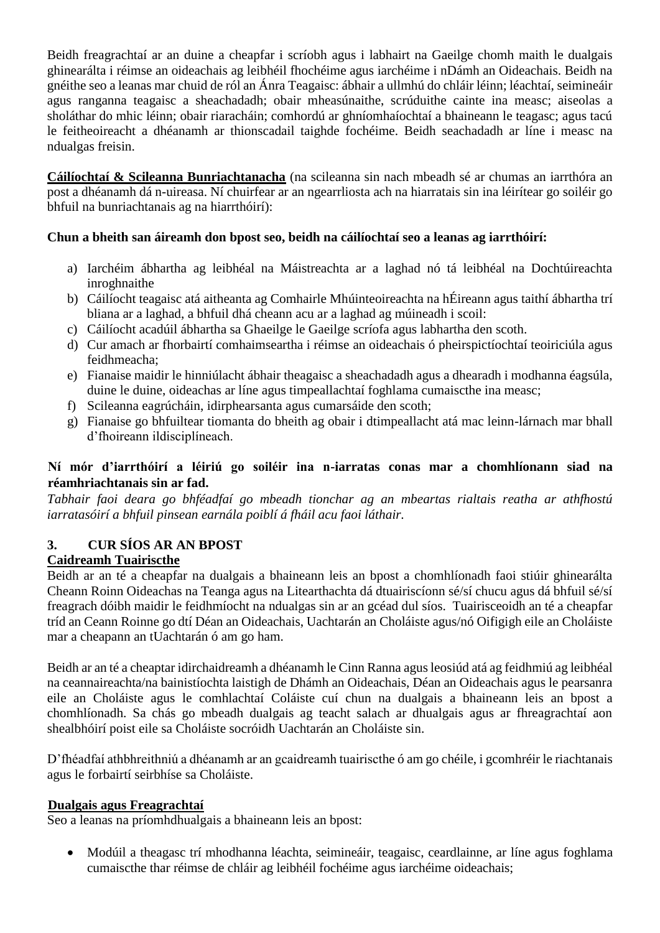Beidh freagrachtaí ar an duine a cheapfar i scríobh agus i labhairt na Gaeilge chomh maith le dualgais ghinearálta i réimse an oideachais ag leibhéil fhochéime agus iarchéime i nDámh an Oideachais. Beidh na gnéithe seo a leanas mar chuid de ról an Ánra Teagaisc: ábhair a ullmhú do chláir léinn; léachtaí, seimineáir agus ranganna teagaisc a sheachadadh; obair mheasúnaithe, scrúduithe cainte ina measc; aiseolas a sholáthar do mhic léinn; obair riaracháin; comhordú ar ghníomhaíochtaí a bhaineann le teagasc; agus tacú le feitheoireacht a dhéanamh ar thionscadail taighde fochéime. Beidh seachadadh ar líne i measc na ndualgas freisin.

**Cáilíochtaí & Scileanna Bunriachtanacha** (na scileanna sin nach mbeadh sé ar chumas an iarrthóra an post a dhéanamh dá n-uireasa. Ní chuirfear ar an ngearrliosta ach na hiarratais sin ina léirítear go soiléir go bhfuil na bunriachtanais ag na hiarrthóirí):

### **Chun a bheith san áireamh don bpost seo, beidh na cáilíochtaí seo a leanas ag iarrthóirí:**

- a) Iarchéim ábhartha ag leibhéal na Máistreachta ar a laghad nó tá leibhéal na Dochtúireachta inroghnaithe
- b) Cáilíocht teagaisc atá aitheanta ag Comhairle Mhúinteoireachta na hÉireann agus taithí ábhartha trí bliana ar a laghad, a bhfuil dhá cheann acu ar a laghad ag múineadh i scoil:
- c) Cáilíocht acadúil ábhartha sa Ghaeilge le Gaeilge scríofa agus labhartha den scoth.
- d) Cur amach ar fhorbairtí comhaimseartha i réimse an oideachais ó pheirspictíochtaí teoiriciúla agus feidhmeacha;
- e) Fianaise maidir le hinniúlacht ábhair theagaisc a sheachadadh agus a dhearadh i modhanna éagsúla, duine le duine, oideachas ar líne agus timpeallachtaí foghlama cumaiscthe ina measc;
- f) Scileanna eagrúcháin, idirphearsanta agus cumarsáide den scoth;
- g) Fianaise go bhfuiltear tiomanta do bheith ag obair i dtimpeallacht atá mac leinn-lárnach mar bhall d'fhoireann ildisciplíneach.

### **Ní mór d'iarrthóirí a léiriú go soiléir ina n-iarratas conas mar a chomhlíonann siad na réamhriachtanais sin ar fad.**

*Tabhair faoi deara go bhféadfaí go mbeadh tionchar ag an mbeartas rialtais reatha ar athfhostú iarratasóirí a bhfuil pinsean earnála poiblí á fháil acu faoi láthair.*

# **3. CUR SÍOS AR AN BPOST**

## **Caidreamh Tuairiscthe**

Beidh ar an té a cheapfar na dualgais a bhaineann leis an bpost a chomhlíonadh faoi stiúir ghinearálta Cheann Roinn Oideachas na Teanga agus na Litearthachta dá dtuairiscíonn sé/sí chucu agus dá bhfuil sé/sí freagrach dóibh maidir le feidhmíocht na ndualgas sin ar an gcéad dul síos. Tuairisceoidh an té a cheapfar tríd an Ceann Roinne go dtí Déan an Oideachais, Uachtarán an Choláiste agus/nó Oifigigh eile an Choláiste mar a cheapann an tUachtarán ó am go ham.

Beidh ar an té a cheaptar idirchaidreamh a dhéanamh le Cinn Ranna agus leosiúd atá ag feidhmiú ag leibhéal na ceannaireachta/na bainistíochta laistigh de Dhámh an Oideachais, Déan an Oideachais agus le pearsanra eile an Choláiste agus le comhlachtaí Coláiste cuí chun na dualgais a bhaineann leis an bpost a chomhlíonadh. Sa chás go mbeadh dualgais ag teacht salach ar dhualgais agus ar fhreagrachtaí aon shealbhóirí poist eile sa Choláiste socróidh Uachtarán an Choláiste sin.

D'fhéadfaí athbhreithniú a dhéanamh ar an gcaidreamh tuairiscthe ó am go chéile, i gcomhréir le riachtanais agus le forbairtí seirbhíse sa Choláiste.

#### **Dualgais agus Freagrachtaí**

Seo a leanas na príomhdhualgais a bhaineann leis an bpost:

• Modúil a theagasc trí mhodhanna léachta, seimineáir, teagaisc, ceardlainne, ar líne agus foghlama cumaiscthe thar réimse de chláir ag leibhéil fochéime agus iarchéime oideachais;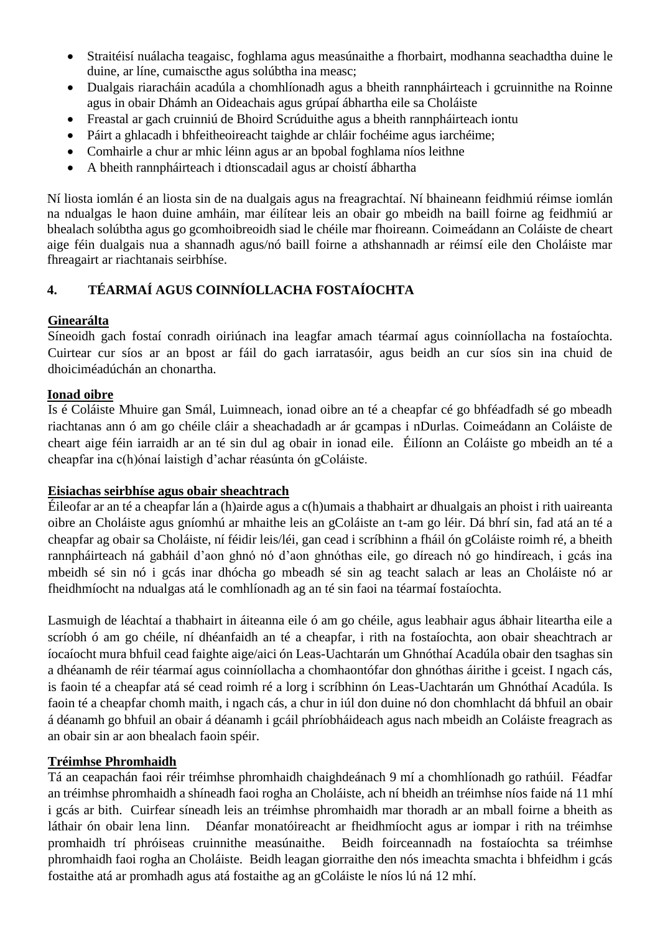- Straitéisí nuálacha teagaisc, foghlama agus measúnaithe a fhorbairt, modhanna seachadtha duine le duine, ar líne, cumaiscthe agus solúbtha ina measc;
- Dualgais riaracháin acadúla a chomhlíonadh agus a bheith rannpháirteach i gcruinnithe na Roinne agus in obair Dhámh an Oideachais agus grúpaí ábhartha eile sa Choláiste
- Freastal ar gach cruinniú de Bhoird Scrúduithe agus a bheith rannpháirteach iontu
- Páirt a ghlacadh i bhfeitheoireacht taighde ar chláir fochéime agus iarchéime;
- Comhairle a chur ar mhic léinn agus ar an bpobal foghlama níos leithne
- A bheith rannpháirteach i dtionscadail agus ar choistí ábhartha

Ní liosta iomlán é an liosta sin de na dualgais agus na freagrachtaí. Ní bhaineann feidhmiú réimse iomlán na ndualgas le haon duine amháin, mar éilítear leis an obair go mbeidh na baill foirne ag feidhmiú ar bhealach solúbtha agus go gcomhoibreoidh siad le chéile mar fhoireann. Coimeádann an Coláiste de cheart aige féin dualgais nua a shannadh agus/nó baill foirne a athshannadh ar réimsí eile den Choláiste mar fhreagairt ar riachtanais seirbhíse.

# **4. TÉARMAÍ AGUS COINNÍOLLACHA FOSTAÍOCHTA**

### **Ginearálta**

Síneoidh gach fostaí conradh oiriúnach ina leagfar amach téarmaí agus coinníollacha na fostaíochta. Cuirtear cur síos ar an bpost ar fáil do gach iarratasóir, agus beidh an cur síos sin ina chuid de dhoiciméadúchán an chonartha.

### **Ionad oibre**

Is é Coláiste Mhuire gan Smál, Luimneach, ionad oibre an té a cheapfar cé go bhféadfadh sé go mbeadh riachtanas ann ó am go chéile cláir a sheachadadh ar ár gcampas i nDurlas. Coimeádann an Coláiste de cheart aige féin iarraidh ar an té sin dul ag obair in ionad eile. Éilíonn an Coláiste go mbeidh an té a cheapfar ina c(h)ónaí laistigh d'achar réasúnta ón gColáiste.

#### **Eisiachas seirbhíse agus obair sheachtrach**

Éileofar ar an té a cheapfar lán a (h)airde agus a c(h)umais a thabhairt ar dhualgais an phoist i rith uaireanta oibre an Choláiste agus gníomhú ar mhaithe leis an gColáiste an t-am go léir. Dá bhrí sin, fad atá an té a cheapfar ag obair sa Choláiste, ní féidir leis/léi, gan cead i scríbhinn a fháil ón gColáiste roimh ré, a bheith rannpháirteach ná gabháil d'aon ghnó nó d'aon ghnóthas eile, go díreach nó go hindíreach, i gcás ina mbeidh sé sin nó i gcás inar dhócha go mbeadh sé sin ag teacht salach ar leas an Choláiste nó ar fheidhmíocht na ndualgas atá le comhlíonadh ag an té sin faoi na téarmaí fostaíochta.

Lasmuigh de léachtaí a thabhairt in áiteanna eile ó am go chéile, agus leabhair agus ábhair liteartha eile a scríobh ó am go chéile, ní dhéanfaidh an té a cheapfar, i rith na fostaíochta, aon obair sheachtrach ar íocaíocht mura bhfuil cead faighte aige/aici ón Leas-Uachtarán um Ghnóthaí Acadúla obair den tsaghas sin a dhéanamh de réir téarmaí agus coinníollacha a chomhaontófar don ghnóthas áirithe i gceist. I ngach cás, is faoin té a cheapfar atá sé cead roimh ré a lorg i scríbhinn ón Leas-Uachtarán um Ghnóthaí Acadúla. Is faoin té a cheapfar chomh maith, i ngach cás, a chur in iúl don duine nó don chomhlacht dá bhfuil an obair á déanamh go bhfuil an obair á déanamh i gcáil phríobháideach agus nach mbeidh an Coláiste freagrach as an obair sin ar aon bhealach faoin spéir.

## **Tréimhse Phromhaidh**

Tá an ceapachán faoi réir tréimhse phromhaidh chaighdeánach 9 mí a chomhlíonadh go rathúil. Féadfar an tréimhse phromhaidh a shíneadh faoi rogha an Choláiste, ach ní bheidh an tréimhse níos faide ná 11 mhí i gcás ar bith. Cuirfear síneadh leis an tréimhse phromhaidh mar thoradh ar an mball foirne a bheith as láthair ón obair lena linn. Déanfar monatóireacht ar fheidhmíocht agus ar iompar i rith na tréimhse promhaidh trí phróiseas cruinnithe measúnaithe. Beidh foirceannadh na fostaíochta sa tréimhse phromhaidh faoi rogha an Choláiste. Beidh leagan giorraithe den nós imeachta smachta i bhfeidhm i gcás fostaithe atá ar promhadh agus atá fostaithe ag an gColáiste le níos lú ná 12 mhí.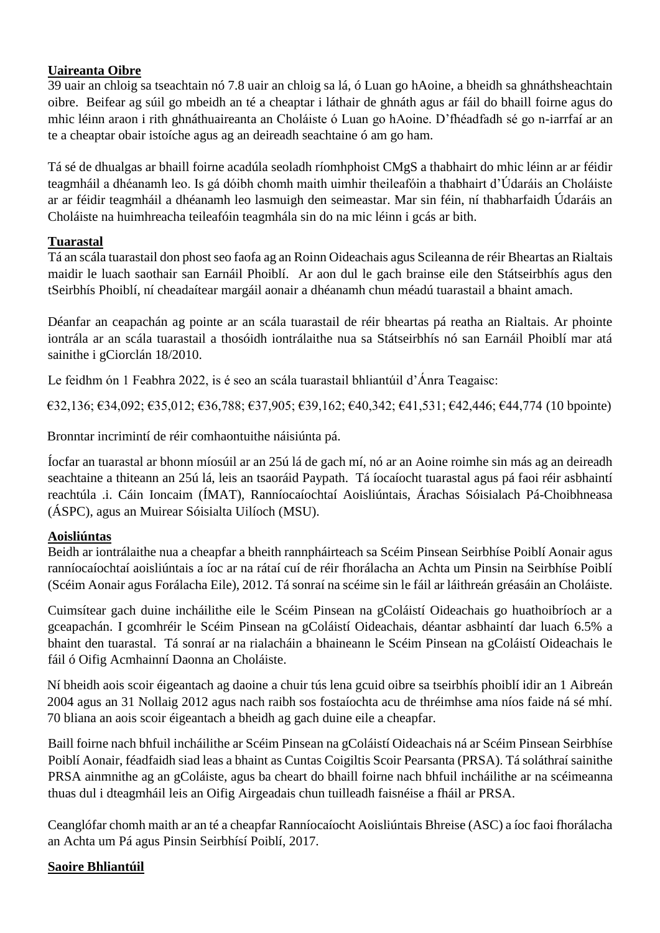## **Uaireanta Oibre**

39 uair an chloig sa tseachtain nó 7.8 uair an chloig sa lá, ó Luan go hAoine, a bheidh sa ghnáthsheachtain oibre. Beifear ag súil go mbeidh an té a cheaptar i láthair de ghnáth agus ar fáil do bhaill foirne agus do mhic léinn araon i rith ghnáthuaireanta an Choláiste ó Luan go hAoine. D'fhéadfadh sé go n-iarrfaí ar an te a cheaptar obair istoíche agus ag an deireadh seachtaine ó am go ham.

Tá sé de dhualgas ar bhaill foirne acadúla seoladh ríomhphoist CMgS a thabhairt do mhic léinn ar ar féidir teagmháil a dhéanamh leo. Is gá dóibh chomh maith uimhir theileafóin a thabhairt d'Údaráis an Choláiste ar ar féidir teagmháil a dhéanamh leo lasmuigh den seimeastar. Mar sin féin, ní thabharfaidh Údaráis an Choláiste na huimhreacha teileafóin teagmhála sin do na mic léinn i gcás ar bith.

# **Tuarastal**

Tá an scála tuarastail don phost seo faofa ag an Roinn Oideachais agus Scileanna de réir Bheartas an Rialtais maidir le luach saothair san Earnáil Phoiblí. Ar aon dul le gach brainse eile den Státseirbhís agus den tSeirbhís Phoiblí, ní cheadaítear margáil aonair a dhéanamh chun méadú tuarastail a bhaint amach.

Déanfar an ceapachán ag pointe ar an scála tuarastail de réir bheartas pá reatha an Rialtais. Ar phointe iontrála ar an scála tuarastail a thosóidh iontrálaithe nua sa Státseirbhís nó san Earnáil Phoiblí mar atá sainithe i gCiorclán 18/2010.

Le feidhm ón 1 Feabhra 2022, is é seo an scála tuarastail bhliantúil d'Ánra Teagaisc:

€32,136; €34,092; €35,012; €36,788; €37,905; €39,162; €40,342; €41,531; €42,446; €44,774 (10 bpointe)

Bronntar incrimintí de réir comhaontuithe náisiúnta pá.

Íocfar an tuarastal ar bhonn míosúil ar an 25ú lá de gach mí, nó ar an Aoine roimhe sin más ag an deireadh seachtaine a thiteann an 25ú lá, leis an tsaoráid Paypath. Tá íocaíocht tuarastal agus pá faoi réir asbhaintí reachtúla .i. Cáin Ioncaim (ÍMAT), Ranníocaíochtaí Aoisliúntais, Árachas Sóisialach Pá-Choibhneasa (ÁSPC), agus an Muirear Sóisialta Uilíoch (MSU).

## **Aoisliúntas**

Beidh ar iontrálaithe nua a cheapfar a bheith rannpháirteach sa Scéim Pinsean Seirbhíse Poiblí Aonair agus ranníocaíochtaí aoisliúntais a íoc ar na rátaí cuí de réir fhorálacha an Achta um Pinsin na Seirbhíse Poiblí (Scéim Aonair agus Forálacha Eile), 2012. Tá sonraí na scéime sin le fáil ar láithreán gréasáin an Choláiste.

Cuimsítear gach duine incháilithe eile le Scéim Pinsean na gColáistí Oideachais go huathoibríoch ar a gceapachán. I gcomhréir le Scéim Pinsean na gColáistí Oideachais, déantar asbhaintí dar luach 6.5% a bhaint den tuarastal. Tá sonraí ar na rialacháin a bhaineann le Scéim Pinsean na gColáistí Oideachais le fáil ó Oifig Acmhainní Daonna an Choláiste.

Ní bheidh aois scoir éigeantach ag daoine a chuir tús lena gcuid oibre sa tseirbhís phoiblí idir an 1 Aibreán 2004 agus an 31 Nollaig 2012 agus nach raibh sos fostaíochta acu de thréimhse ama níos faide ná sé mhí. 70 bliana an aois scoir éigeantach a bheidh ag gach duine eile a cheapfar.

Baill foirne nach bhfuil incháilithe ar Scéim Pinsean na gColáistí Oideachais ná ar Scéim Pinsean Seirbhíse Poiblí Aonair, féadfaidh siad leas a bhaint as Cuntas Coigiltis Scoir Pearsanta (PRSA). Tá soláthraí sainithe PRSA ainmnithe ag an gColáiste, agus ba cheart do bhaill foirne nach bhfuil incháilithe ar na scéimeanna thuas dul i dteagmháil leis an Oifig Airgeadais chun tuilleadh faisnéise a fháil ar PRSA.

Ceanglófar chomh maith ar an té a cheapfar Ranníocaíocht Aoisliúntais Bhreise (ASC) a íoc faoi fhorálacha an Achta um Pá agus Pinsin Seirbhísí Poiblí, 2017.

## **Saoire Bhliantúil**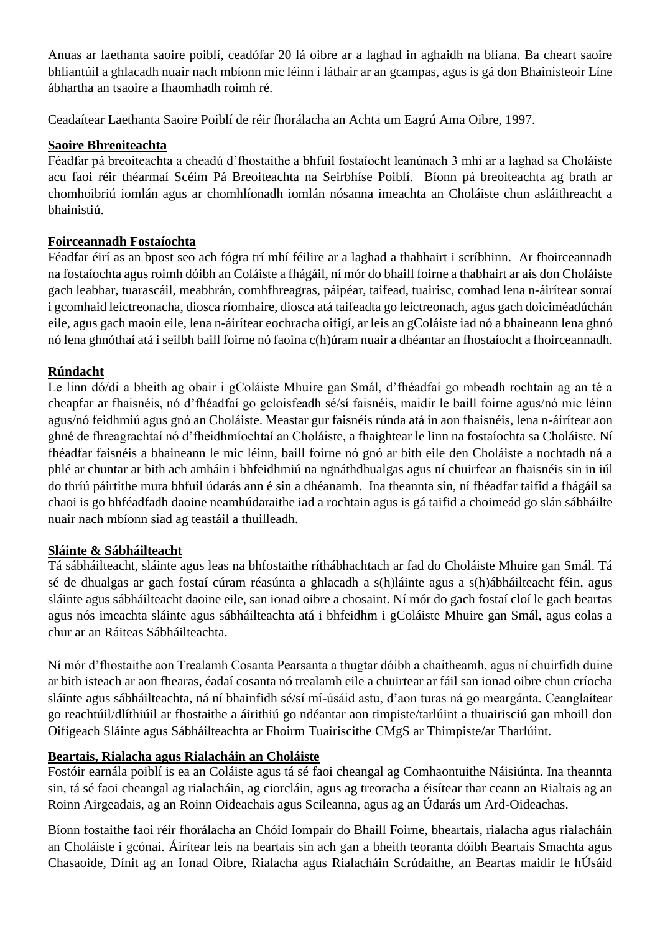Anuas ar laethanta saoire poiblí, ceadófar 20 lá oibre ar a laghad in aghaidh na bliana. Ba cheart saoire bhliantúil a ghlacadh nuair nach mbíonn mic léinn i láthair ar an gcampas, agus is gá don Bhainisteoir Líne ábhartha an tsaoire a fhaomhadh roimh ré.

Ceadaítear Laethanta Saoire Poiblí de réir fhorálacha an Achta um Eagrú Ama Oibre, 1997.

## **Saoire Bhreoiteachta**

Féadfar pá breoiteachta a cheadú d'fhostaithe a bhfuil fostaíocht leanúnach 3 mhí ar a laghad sa Choláiste acu faoi réir théarmaí Scéim Pá Breoiteachta na Seirbhíse Poiblí. Bíonn pá breoiteachta ag brath ar chomhoibriú iomlán agus ar chomhlíonadh iomlán nósanna imeachta an Choláiste chun asláithreacht a bhainistiú.

# **Foirceannadh Fostaíochta**

Féadfar éirí as an bpost seo ach fógra trí mhí féilire ar a laghad a thabhairt i scríbhinn. Ar fhoirceannadh na fostaíochta agus roimh dóibh an Coláiste a fhágáil, ní mór do bhaill foirne a thabhairt ar ais don Choláiste gach leabhar, tuarascáil, meabhrán, comhfhreagras, páipéar, taifead, tuairisc, comhad lena n-áirítear sonraí i gcomhaid leictreonacha, diosca ríomhaire, diosca atá taifeadta go leictreonach, agus gach doiciméadúchán eile, agus gach maoin eile, lena n-áirítear eochracha oifigí, ar leis an gColáiste iad nó a bhaineann lena ghnó nó lena ghnóthaí atá i seilbh baill foirne nó faoina c(h)úram nuair a dhéantar an fhostaíocht a fhoirceannadh.

# **Rúndacht**

Le linn dó/di a bheith ag obair i gColáiste Mhuire gan Smál, d'fhéadfaí go mbeadh rochtain ag an té a cheapfar ar fhaisnéis, nó d'fhéadfaí go gcloisfeadh sé/sí faisnéis, maidir le baill foirne agus/nó mic léinn agus/nó feidhmiú agus gnó an Choláiste. Meastar gur faisnéis rúnda atá in aon fhaisnéis, lena n-áirítear aon ghné de fhreagrachtaí nó d'fheidhmíochtaí an Choláiste, a fhaightear le linn na fostaíochta sa Choláiste. Ní fhéadfar faisnéis a bhaineann le mic léinn, baill foirne nó gnó ar bith eile den Choláiste a nochtadh ná a phlé ar chuntar ar bith ach amháin i bhfeidhmiú na ngnáthdhualgas agus ní chuirfear an fhaisnéis sin in iúl do thríú páirtithe mura bhfuil údarás ann é sin a dhéanamh. Ina theannta sin, ní fhéadfar taifid a fhágáil sa chaoi is go bhféadfadh daoine neamhúdaraithe iad a rochtain agus is gá taifid a choimeád go slán sábháilte nuair nach mbíonn siad ag teastáil a thuilleadh.

## **Sláinte & Sábháilteacht**

Tá sábháilteacht, sláinte agus leas na bhfostaithe ríthábhachtach ar fad do Choláiste Mhuire gan Smál. Tá sé de dhualgas ar gach fostaí cúram réasúnta a ghlacadh a s(h)láinte agus a s(h)ábháilteacht féin, agus sláinte agus sábháilteacht daoine eile, san ionad oibre a chosaint. Ní mór do gach fostaí cloí le gach beartas agus nós imeachta sláinte agus sábháilteachta atá i bhfeidhm i gColáiste Mhuire gan Smál, agus eolas a chur ar an Ráiteas Sábháilteachta.

Ní mór d'fhostaithe aon Trealamh Cosanta Pearsanta a thugtar dóibh a chaitheamh, agus ní chuirfidh duine ar bith isteach ar aon fhearas, éadaí cosanta nó trealamh eile a chuirtear ar fáil san ionad oibre chun críocha sláinte agus sábháilteachta, ná ní bhainfidh sé/sí mí-úsáid astu, d'aon turas ná go meargánta. Ceanglaítear go reachtúil/dlíthiúil ar fhostaithe a áirithiú go ndéantar aon timpiste/tarlúint a thuairisciú gan mhoill don Oifigeach Sláinte agus Sábháilteachta ar Fhoirm Tuairiscithe CMgS ar Thimpiste/ar Tharlúint.

# **Beartais, Rialacha agus Rialacháin an Choláiste**

Fostóir earnála poiblí is ea an Coláiste agus tá sé faoi cheangal ag Comhaontuithe Náisiúnta. Ina theannta sin, tá sé faoi cheangal ag rialacháin, ag ciorcláin, agus ag treoracha a éisítear thar ceann an Rialtais ag an Roinn Airgeadais, ag an Roinn Oideachais agus Scileanna, agus ag an Údarás um Ard-Oideachas.

Bíonn fostaithe faoi réir fhorálacha an Chóid Iompair do Bhaill Foirne, bheartais, rialacha agus rialacháin an Choláiste i gcónaí. Áirítear leis na beartais sin ach gan a bheith teoranta dóibh Beartais Smachta agus Chasaoide, Dínit ag an Ionad Oibre, Rialacha agus Rialacháin Scrúdaithe, an Beartas maidir le hÚsáid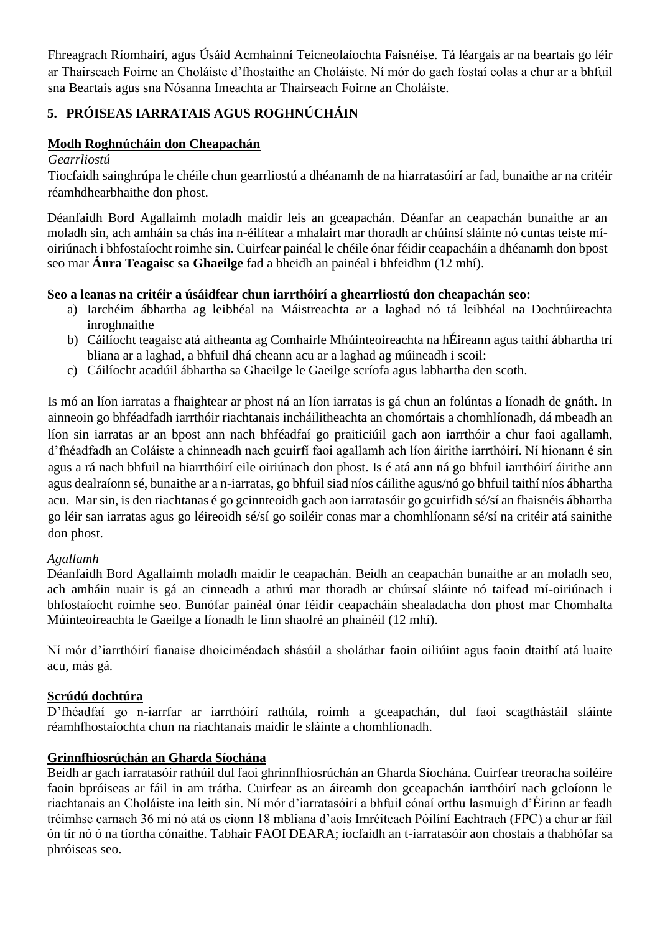Fhreagrach Ríomhairí, agus Úsáid Acmhainní Teicneolaíochta Faisnéise. Tá léargais ar na beartais go léir ar Thairseach Foirne an Choláiste d'fhostaithe an Choláiste. Ní mór do gach fostaí eolas a chur ar a bhfuil sna Beartais agus sna Nósanna Imeachta ar Thairseach Foirne an Choláiste.

# **5. PRÓISEAS IARRATAIS AGUS ROGHNÚCHÁIN**

## **Modh Roghnúcháin don Cheapachán**

#### *Gearrliostú*

Tiocfaidh sainghrúpa le chéile chun gearrliostú a dhéanamh de na hiarratasóirí ar fad, bunaithe ar na critéir réamhdhearbhaithe don phost.

Déanfaidh Bord Agallaimh moladh maidir leis an gceapachán. Déanfar an ceapachán bunaithe ar an moladh sin, ach amháin sa chás ina n-éilítear a mhalairt mar thoradh ar chúinsí sláinte nó cuntas teiste míoiriúnach i bhfostaíocht roimhe sin. Cuirfear painéal le chéile ónar féidir ceapacháin a dhéanamh don bpost seo mar **Ánra Teagaisc sa Ghaeilge** fad a bheidh an painéal i bhfeidhm (12 mhí).

### **Seo a leanas na critéir a úsáidfear chun iarrthóirí a ghearrliostú don cheapachán seo:**

- a) Iarchéim ábhartha ag leibhéal na Máistreachta ar a laghad nó tá leibhéal na Dochtúireachta inroghnaithe
- b) Cáilíocht teagaisc atá aitheanta ag Comhairle Mhúinteoireachta na hÉireann agus taithí ábhartha trí bliana ar a laghad, a bhfuil dhá cheann acu ar a laghad ag múineadh i scoil:
- c) Cáilíocht acadúil ábhartha sa Ghaeilge le Gaeilge scríofa agus labhartha den scoth.

Is mó an líon iarratas a fhaightear ar phost ná an líon iarratas is gá chun an folúntas a líonadh de gnáth. In ainneoin go bhféadfadh iarrthóir riachtanais incháilitheachta an chomórtais a chomhlíonadh, dá mbeadh an líon sin iarratas ar an bpost ann nach bhféadfaí go praiticiúil gach aon iarrthóir a chur faoi agallamh, d'fhéadfadh an Coláiste a chinneadh nach gcuirfí faoi agallamh ach líon áirithe iarrthóirí. Ní hionann é sin agus a rá nach bhfuil na hiarrthóirí eile oiriúnach don phost. Is é atá ann ná go bhfuil iarrthóirí áirithe ann agus dealraíonn sé, bunaithe ar a n-iarratas, go bhfuil siad níos cáilithe agus/nó go bhfuil taithí níos ábhartha acu. Mar sin, is den riachtanas é go gcinnteoidh gach aon iarratasóir go gcuirfidh sé/sí an fhaisnéis ábhartha go léir san iarratas agus go léireoidh sé/sí go soiléir conas mar a chomhlíonann sé/sí na critéir atá sainithe don phost.

#### *Agallamh*

Déanfaidh Bord Agallaimh moladh maidir le ceapachán. Beidh an ceapachán bunaithe ar an moladh seo, ach amháin nuair is gá an cinneadh a athrú mar thoradh ar chúrsaí sláinte nó taifead mí-oiriúnach i bhfostaíocht roimhe seo. Bunófar painéal ónar féidir ceapacháin shealadacha don phost mar Chomhalta Múinteoireachta le Gaeilge a líonadh le linn shaolré an phainéil (12 mhí).

Ní mór d'iarrthóirí fianaise dhoiciméadach shásúil a sholáthar faoin oiliúint agus faoin dtaithí atá luaite acu, más gá.

#### **Scrúdú dochtúra**

D'fhéadfaí go n-iarrfar ar iarrthóirí rathúla, roimh a gceapachán, dul faoi scagthástáil sláinte réamhfhostaíochta chun na riachtanais maidir le sláinte a chomhlíonadh.

#### **Grinnfhiosrúchán an Gharda Síochána**

Beidh ar gach iarratasóir rathúil dul faoi ghrinnfhiosrúchán an Gharda Síochána. Cuirfear treoracha soiléire faoin bpróiseas ar fáil in am trátha. Cuirfear as an áireamh don gceapachán iarrthóirí nach gcloíonn le riachtanais an Choláiste ina leith sin. Ní mór d'iarratasóirí a bhfuil cónaí orthu lasmuigh d'Éirinn ar feadh tréimhse carnach 36 mí nó atá os cionn 18 mbliana d'aois Imréiteach Póilíní Eachtrach (FPC) a chur ar fáil ón tír nó ó na tíortha cónaithe. Tabhair FAOI DEARA; íocfaidh an t-iarratasóir aon chostais a thabhófar sa phróiseas seo.